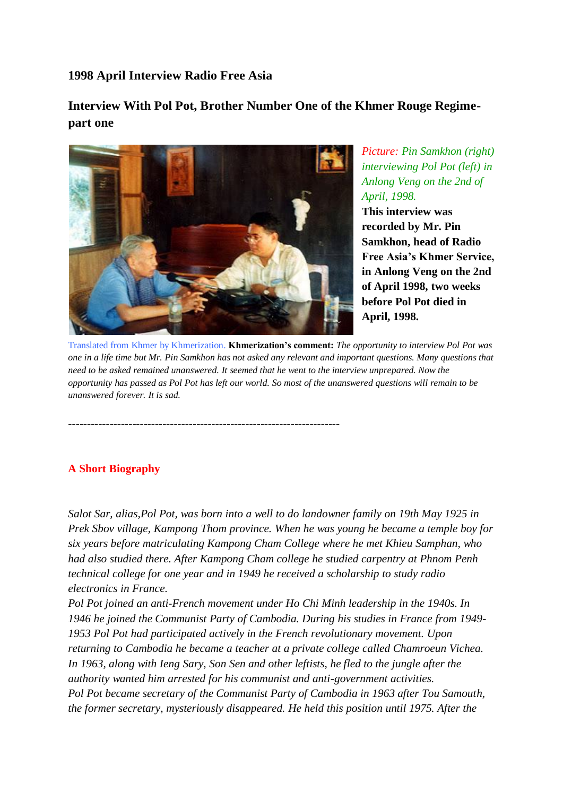**1998 April Interview Radio Free Asia**

**Interview With Pol Pot, Brother Number One of the Khmer Rouge Regimepart one** 



------------------------------------------------------------------------

*Picture: Pin Samkhon (right) interviewing Pol Pot (left) in Anlong Veng on the 2nd of April, 1998.* **This interview was recorded by Mr. Pin Samkhon, head of Radio Free Asia's Khmer Service, in Anlong Veng on the 2nd of April 1998, two weeks before Pol Pot died in April, 1998.**

Translated from Khmer by Khmerization. **Khmerization's comment:** *The opportunity to interview Pol Pot was one in a life time but Mr. Pin Samkhon has not asked any relevant and important questions. Many questions that need to be asked remained unanswered. It seemed that he went to the interview unprepared. Now the opportunity has passed as Pol Pot has left our world. So most of the unanswered questions will remain to be unanswered forever. It is sad.*

## **A Short Biography**

*Salot Sar, alias,Pol Pot, was born into a well to do landowner family on 19th May 1925 in Prek Sbov village, Kampong Thom province. When he was young he became a temple boy for six years before matriculating Kampong Cham College where he met Khieu Samphan, who had also studied there. After Kampong Cham college he studied carpentry at Phnom Penh technical college for one year and in 1949 he received a scholarship to study radio electronics in France.*

*Pol Pot joined an anti-French movement under Ho Chi Minh leadership in the 1940s. In 1946 he joined the Communist Party of Cambodia. During his studies in France from 1949- 1953 Pol Pot had participated actively in the French revolutionary movement. Upon returning to Cambodia he became a teacher at a private college called Chamroeun Vichea.* In 1963, along with Ieng Sary, Son Sen and other leftists, he fled to the jungle after the *authority wanted him arrested for his communist and anti-government activities. Pol Pot became secretary of the Communist Party of Cambodia in 1963 after Tou Samouth, the former secretary, mysteriously disappeared. He held this position until 1975. After the*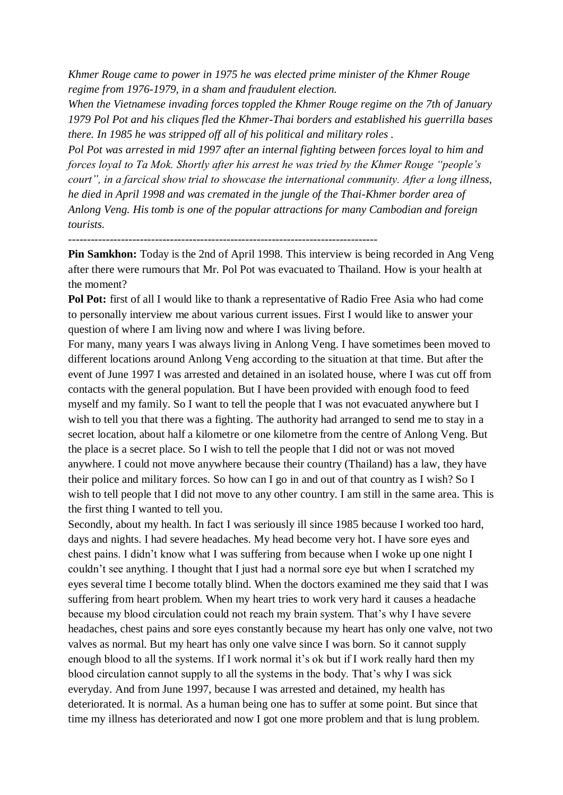*Khmer Rouge came to power in 1975 he was elected prime minister of the Khmer Rouge regime from 1976-1979, in a sham and fraudulent election.*

*When the Vietnamese invading forces toppled the Khmer Rouge regime on the 7th of January 1979 Pol Pot and his cliques fled the Khmer-Thai borders and established his guerrilla bases there. In 1985 he was stripped off all of his political and military roles .*

*Pol Pot was arrested in mid 1997 after an internal fighting between forces loyal to him and forces loyal to Ta Mok. Shortly after his arrest he was tried by the Khmer Rouge "people's court", in a farcical show trial to showcase the international community. After a long illness, he died in April 1998 and was cremated in the jungle of the Thai-Khmer border area of Anlong Veng. His tomb is one of the popular attractions for many Cambodian and foreign tourists.*

----------------------------------------------------------------------------------

**Pin Samkhon:** Today is the 2nd of April 1998. This interview is being recorded in Ang Veng after there were rumours that Mr. Pol Pot was evacuated to Thailand. How is your health at the moment?

**Pol Pot:** first of all I would like to thank a representative of Radio Free Asia who had come to personally interview me about various current issues. First I would like to answer your question of where I am living now and where I was living before.

For many, many years I was always living in Anlong Veng. I have sometimes been moved to different locations around Anlong Veng according to the situation at that time. But after the event of June 1997 I was arrested and detained in an isolated house, where I was cut off from contacts with the general population. But I have been provided with enough food to feed myself and my family. So I want to tell the people that I was not evacuated anywhere but I wish to tell you that there was a fighting. The authority had arranged to send me to stay in a secret location, about half a kilometre or one kilometre from the centre of Anlong Veng. But the place is a secret place. So I wish to tell the people that I did not or was not moved anywhere. I could not move anywhere because their country (Thailand) has a law, they have their police and military forces. So how can I go in and out of that country as I wish? So I wish to tell people that I did not move to any other country. I am still in the same area. This is the first thing I wanted to tell you.

Secondly, about my health. In fact I was seriously ill since 1985 because I worked too hard, days and nights. I had severe headaches. My head become very hot. I have sore eyes and chest pains. I didn't know what I was suffering from because when I woke up one night I couldn't see anything. I thought that I just had a normal sore eye but when I scratched my eyes several time I become totally blind. When the doctors examined me they said that I was suffering from heart problem. When my heart tries to work very hard it causes a headache because my blood circulation could not reach my brain system. That's why I have severe headaches, chest pains and sore eyes constantly because my heart has only one valve, not two valves as normal. But my heart has only one valve since I was born. So it cannot supply enough blood to all the systems. If I work normal it's ok but if I work really hard then my blood circulation cannot supply to all the systems in the body. That's why I was sick everyday. And from June 1997, because I was arrested and detained, my health has deteriorated. It is normal. As a human being one has to suffer at some point. But since that time my illness has deteriorated and now I got one more problem and that is lung problem.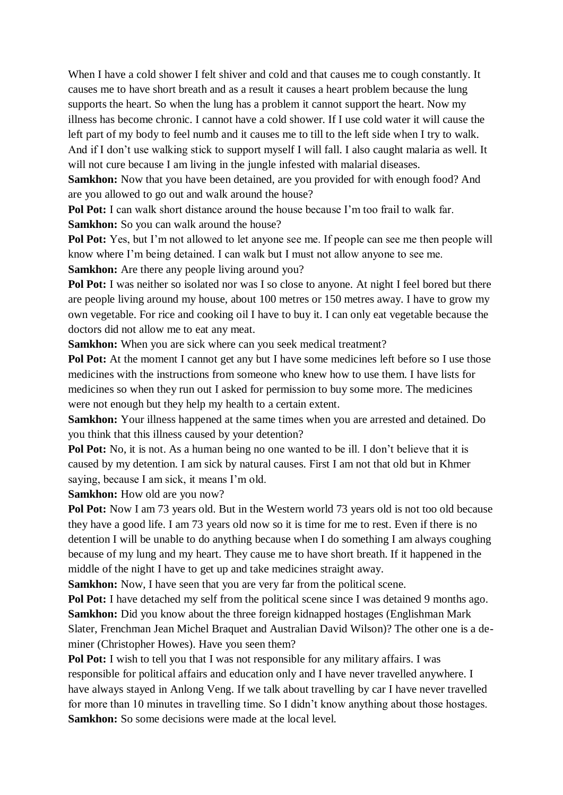When I have a cold shower I felt shiver and cold and that causes me to cough constantly. It causes me to have short breath and as a result it causes a heart problem because the lung supports the heart. So when the lung has a problem it cannot support the heart. Now my illness has become chronic. I cannot have a cold shower. If I use cold water it will cause the left part of my body to feel numb and it causes me to till to the left side when I try to walk. And if I don't use walking stick to support myself I will fall. I also caught malaria as well. It will not cure because I am living in the jungle infested with malarial diseases.

**Samkhon:** Now that you have been detained, are you provided for with enough food? And are you allowed to go out and walk around the house?

**Pol Pot:** I can walk short distance around the house because I'm too frail to walk far. **Samkhon:** So you can walk around the house?

**Pol Pot:** Yes, but I'm not allowed to let anyone see me. If people can see me then people will know where I'm being detained. I can walk but I must not allow anyone to see me.

**Samkhon:** Are there any people living around you?

**Pol Pot:** I was neither so isolated nor was I so close to anyone. At night I feel bored but there are people living around my house, about 100 metres or 150 metres away. I have to grow my own vegetable. For rice and cooking oil I have to buy it. I can only eat vegetable because the doctors did not allow me to eat any meat.

**Samkhon:** When you are sick where can you seek medical treatment?

**Pol Pot:** At the moment I cannot get any but I have some medicines left before so I use those medicines with the instructions from someone who knew how to use them. I have lists for medicines so when they run out I asked for permission to buy some more. The medicines were not enough but they help my health to a certain extent.

**Samkhon:** Your illness happened at the same times when you are arrested and detained. Do you think that this illness caused by your detention?

**Pol Pot:** No, it is not. As a human being no one wanted to be ill. I don't believe that it is caused by my detention. I am sick by natural causes. First I am not that old but in Khmer saying, because I am sick, it means I'm old.

**Samkhon:** How old are you now?

**Pol Pot:** Now I am 73 years old. But in the Western world 73 years old is not too old because they have a good life. I am 73 years old now so it is time for me to rest. Even if there is no detention I will be unable to do anything because when I do something I am always coughing because of my lung and my heart. They cause me to have short breath. If it happened in the middle of the night I have to get up and take medicines straight away.

**Samkhon:** Now, I have seen that you are very far from the political scene.

**Pol Pot:** I have detached my self from the political scene since I was detained 9 months ago. **Samkhon:** Did you know about the three foreign kidnapped hostages (Englishman Mark Slater, Frenchman Jean Michel Braquet and Australian David Wilson)? The other one is a deminer (Christopher Howes). Have you seen them?

**Pol Pot:** I wish to tell you that I was not responsible for any military affairs. I was responsible for political affairs and education only and I have never travelled anywhere. I have always stayed in Anlong Veng. If we talk about travelling by car I have never travelled for more than 10 minutes in travelling time. So I didn't know anything about those hostages. **Samkhon:** So some decisions were made at the local level.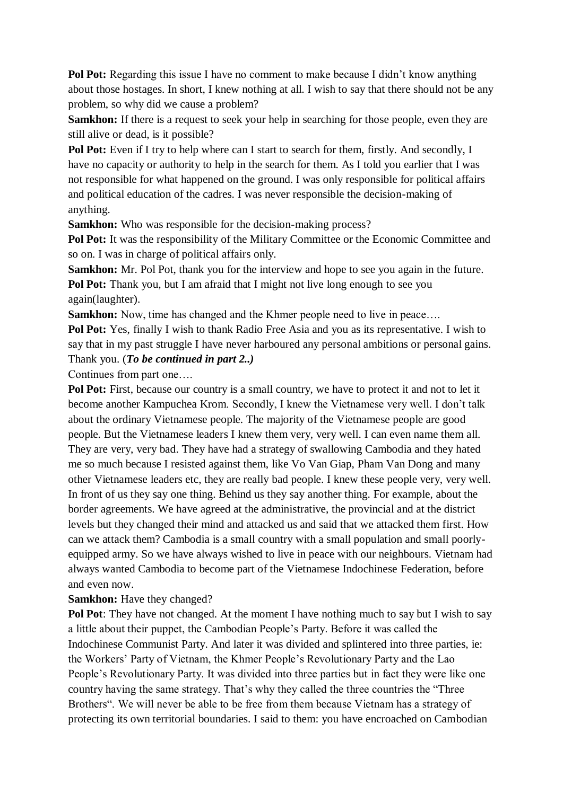**Pol Pot:** Regarding this issue I have no comment to make because I didn't know anything about those hostages. In short, I knew nothing at all. I wish to say that there should not be any problem, so why did we cause a problem?

**Samkhon:** If there is a request to seek your help in searching for those people, even they are still alive or dead, is it possible?

Pol Pot: Even if I try to help where can I start to search for them, firstly. And secondly, I have no capacity or authority to help in the search for them. As I told you earlier that I was not responsible for what happened on the ground. I was only responsible for political affairs and political education of the cadres. I was never responsible the decision-making of anything.

**Samkhon:** Who was responsible for the decision-making process?

Pol Pot: It was the responsibility of the Military Committee or the Economic Committee and so on. I was in charge of political affairs only.

**Samkhon:** Mr. Pol Pot, thank you for the interview and hope to see you again in the future. **Pol Pot:** Thank you, but I am afraid that I might not live long enough to see you again(laughter).

**Samkhon:** Now, time has changed and the Khmer people need to live in peace....

**Pol Pot:** Yes, finally I wish to thank Radio Free Asia and you as its representative. I wish to say that in my past struggle I have never harboured any personal ambitions or personal gains. Thank you. (*To be continued in part 2..)*

Continues from part one….

**Pol Pot:** First, because our country is a small country, we have to protect it and not to let it become another Kampuchea Krom. Secondly, I knew the Vietnamese very well. I don't talk about the ordinary Vietnamese people. The majority of the Vietnamese people are good people. But the Vietnamese leaders I knew them very, very well. I can even name them all. They are very, very bad. They have had a strategy of swallowing Cambodia and they hated me so much because I resisted against them, like Vo Van Giap, Pham Van Dong and many other Vietnamese leaders etc, they are really bad people. I knew these people very, very well. In front of us they say one thing. Behind us they say another thing. For example, about the border agreements. We have agreed at the administrative, the provincial and at the district levels but they changed their mind and attacked us and said that we attacked them first. How can we attack them? Cambodia is a small country with a small population and small poorlyequipped army. So we have always wished to live in peace with our neighbours. Vietnam had always wanted Cambodia to become part of the Vietnamese Indochinese Federation, before and even now.

**Samkhon:** Have they changed?

**Pol Pot**: They have not changed. At the moment I have nothing much to say but I wish to say a little about their puppet, the Cambodian People's Party. Before it was called the Indochinese Communist Party. And later it was divided and splintered into three parties, ie: the Workers' Party of Vietnam, the Khmer People's Revolutionary Party and the Lao People's Revolutionary Party. It was divided into three parties but in fact they were like one country having the same strategy. That's why they called the three countries the "Three Brothers". We will never be able to be free from them because Vietnam has a strategy of protecting its own territorial boundaries. I said to them: you have encroached on Cambodian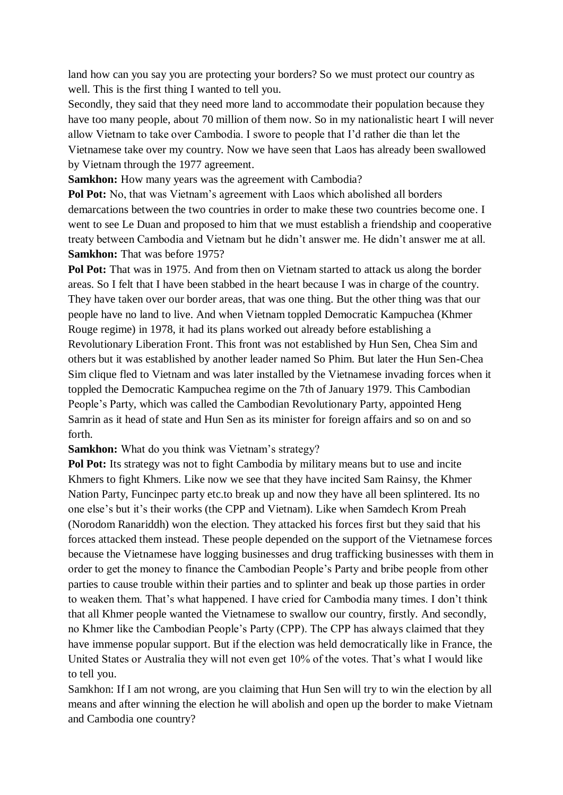land how can you say you are protecting your borders? So we must protect our country as well. This is the first thing I wanted to tell you.

Secondly, they said that they need more land to accommodate their population because they have too many people, about 70 million of them now. So in my nationalistic heart I will never allow Vietnam to take over Cambodia. I swore to people that I'd rather die than let the Vietnamese take over my country. Now we have seen that Laos has already been swallowed by Vietnam through the 1977 agreement.

**Samkhon:** How many years was the agreement with Cambodia?

**Pol Pot:** No, that was Vietnam's agreement with Laos which abolished all borders demarcations between the two countries in order to make these two countries become one. I went to see Le Duan and proposed to him that we must establish a friendship and cooperative treaty between Cambodia and Vietnam but he didn't answer me. He didn't answer me at all. **Samkhon:** That was before 1975?

**Pol Pot:** That was in 1975. And from then on Vietnam started to attack us along the border areas. So I felt that I have been stabbed in the heart because I was in charge of the country. They have taken over our border areas, that was one thing. But the other thing was that our people have no land to live. And when Vietnam toppled Democratic Kampuchea (Khmer Rouge regime) in 1978, it had its plans worked out already before establishing a Revolutionary Liberation Front. This front was not established by Hun Sen, Chea Sim and others but it was established by another leader named So Phim. But later the Hun Sen-Chea Sim clique fled to Vietnam and was later installed by the Vietnamese invading forces when it toppled the Democratic Kampuchea regime on the 7th of January 1979. This Cambodian People's Party, which was called the Cambodian Revolutionary Party, appointed Heng Samrin as it head of state and Hun Sen as its minister for foreign affairs and so on and so forth.

**Samkhon:** What do you think was Vietnam's strategy?

**Pol Pot:** Its strategy was not to fight Cambodia by military means but to use and incite Khmers to fight Khmers. Like now we see that they have incited Sam Rainsy, the Khmer Nation Party, Funcinpec party etc.to break up and now they have all been splintered. Its no one else's but it's their works (the CPP and Vietnam). Like when Samdech Krom Preah (Norodom Ranariddh) won the election. They attacked his forces first but they said that his forces attacked them instead. These people depended on the support of the Vietnamese forces because the Vietnamese have logging businesses and drug trafficking businesses with them in order to get the money to finance the Cambodian People's Party and bribe people from other parties to cause trouble within their parties and to splinter and beak up those parties in order to weaken them. That's what happened. I have cried for Cambodia many times. I don't think that all Khmer people wanted the Vietnamese to swallow our country, firstly. And secondly, no Khmer like the Cambodian People's Party (CPP). The CPP has always claimed that they have immense popular support. But if the election was held democratically like in France, the United States or Australia they will not even get 10% of the votes. That's what I would like to tell you.

Samkhon: If I am not wrong, are you claiming that Hun Sen will try to win the election by all means and after winning the election he will abolish and open up the border to make Vietnam and Cambodia one country?